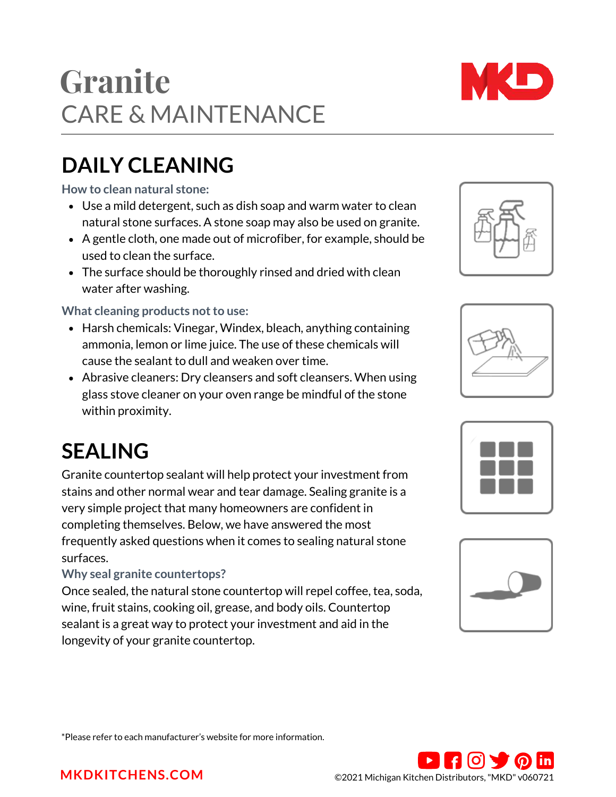CARE & MAINTENANCE **Granite**

# **DAILY CLEANING**

**How to clean natural stone:**

- Use a mild detergent, such as dish soap and warm water to clean natural stone surfaces. A stone soap may also be used on granite.
- A gentle cloth, one made out of microfiber, for example, should be used to clean the surface.
- The surface should be thoroughly rinsed and dried with clean water after washing.

#### **What cleaning products not to use:**

- Harsh chemicals: Vinegar, Windex, bleach, anything containing ammonia, lemon or lime juice. The use of these chemicals will cause the sealant to dull and weaken over time.
- Abrasive cleaners: Dry cleansers and soft cleansers. When using glass stove cleaner on your oven range be mindful of the stone within proximity.

# **SEALING**

Granite countertop sealant will help protect your investment from stains and other normal wear and tear damage. Sealing granite is a very simple project that many homeowners are confident in completing themselves. Below, we have answered the most frequently asked questions when it comes to sealing natural stone surfaces.

#### **Why seal granite countertops?**

Once sealed, the natural stone countertop will repel coffee, tea, soda, wine, fruit stains, cooking oil, grease, and body oils. Countertop sealant is a great way to protect your investment and aid in the longevity of your granite countertop.











\*Please refer to each manufacturer's website for more information.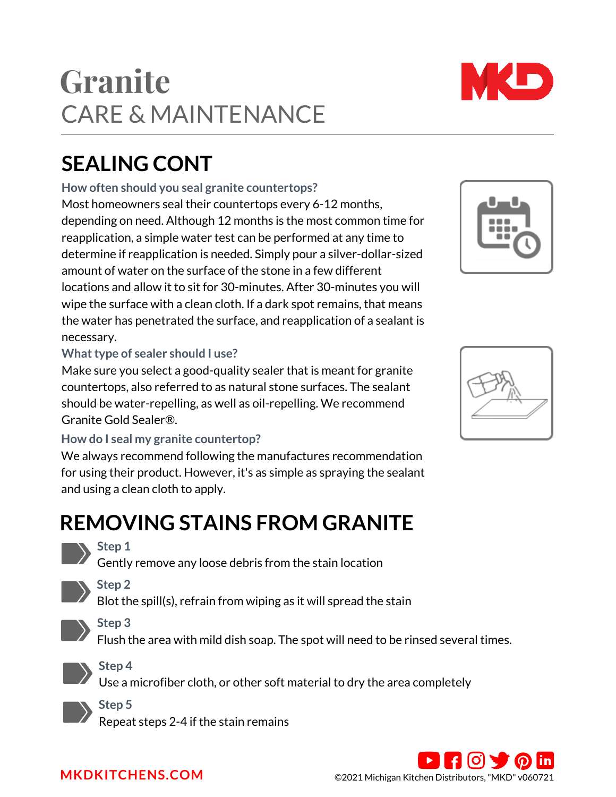### Most homeowners seal their countertops every 6-12 months, depending on need. Although 12 months is the most common time for reapplication, a simple water test can be performed at any time to determine if reapplication is needed. Simply pour a silver-dollar-sized

**SEALING CONT**

amount of water on the surface of the stone in a few different locations and allow it to sit for 30-minutes. After 30-minutes you will wipe the surface with a clean cloth. If a dark spot remains, that means the water has penetrated the surface, and reapplication of a sealant is necessary.

### **What type of sealer should I use?**

### **How do I seal my granite countertop?**

# **REMOVING STAINS FROM GRANITE**

### **Step 1**

Gently remove any loose debris from the stain location



Blot the spill(s), refrain from wiping as it will spread the stain



Flush the area with mild dish soap. The spot will need to be rinsed several times.

**Step 4**

Use a microfiber cloth, or other soft material to dry the area completely

**Step 5**

Repeat steps 2-4 if the stain remains

Make sure you select a good-quality sealer that is meant for granite countertops, also referred to as natural stone surfaces. The sealant should be water-repelling, as well as oil-repelling. We recommend [Granite Gold Sealer®.](https://www.granitegold.com/product/granite-gold-sealer/)

We always recommend following the manufactures recommendation for using their product. However, it's as simple as spraying the sealant and using a clean cloth to apply.

# CARE & MAINTENANCE **Granite**

**How often should you seal granite countertops?**